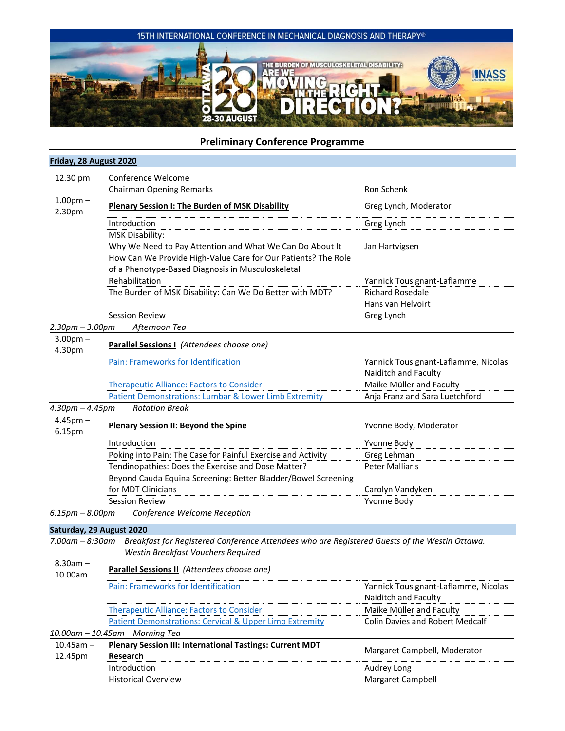

# **Preliminary Conference Programme**

## **Friday, 28 August 2020** 12.30 pm Conference Welcome Chairman Opening Remarks **Rondom Chairman Chairman Chairman** Ron Schenk 1.00pm – 2.30pm **Plenary Session I: The Burden of MSK Disability** Greg Lynch, Moderator and Disampon Burden and Disability Introduction **Greg Lynch** Greg Lynch MSK Disability: Why We Need to Pay Attention and What We Can Do About It Jan Hartvigsen How Can We Provide High-Value Care for Our Patients? The Role of a Phenotype-Based Diagnosis in Musculoskeletal Rehabilitation Yannick Tousignant-Laflamme The Burden of MSK Disability: Can We Do Better with MDT? Richard Rosedale Hans van Helvoirt Session Review **Greg Lynch** Greg Lynch *2.30pm – 3.00pm Afternoon Tea* 3.00pm – 4.30pm **Parallel Sessions I** *(Attendees choose one)* [Pain: Frameworks for Identification](#page-2-0) The Manusculinum Channick Tousignant-Laflamme, Nicolas Naiditch and Faculty [Therapeutic Alliance: Factors to Consider](#page-2-1) Maike Müller and Faculty [Patient Demonstrations: Lumbar & Lower Limb Extremity](#page-3-0) Anja Franz and Sara Luetchford *4.30pm – 4.45pm Rotation Break* 4.45pm – 6.15pm **Plenary Session II: Beyond the Spine** Yvonne Body, Moderator Introduction Yvonne Body Poking into Pain: The Case for Painful Exercise and Activity Greg Lehman Tendinopathies: Does the Exercise and Dose Matter? Peter Malliaris Beyond Cauda Equina Screening: Better Bladder/Bowel Screening for MDT Clinicians Carolyn Vandyken Carolyn Vandyken Session Review North Communication of the Communication of the View Yvonne Body *6.15pm – 8.00pm Conference Welcome Reception* **Saturday, 29 August 2020** *7.00am – 8:30am Breakfast for Registered Conference Attendees who are Registered Guests of the Westin Ottawa. Westin Breakfast Vouchers Required* 8.30am – 10.00am **Parallel Sessions II** *(Attendees choose one)* [Pain: Frameworks for Identification](#page-2-0) The Vannick Tousignant-Laflamme, Nicolas Naiditch and Faculty [Therapeutic Alliance: Factors to Consider](#page-2-1) Mailler and Faculty [Patient Demonstrations: Cervical & Upper Limb Extremity](#page-3-0) Colin Davies and Robert Medcalf *10.00am – 10.45am Morning Tea* 10.45am – 12.45pm **Plenary Session III: International Tastings: Current MDT Research Margaret Campbell, Moderator Research** Margaret Campbell, Moderator Introduction **Audrey Long** Historical Overview **Margaret Campbell** Margaret Campbell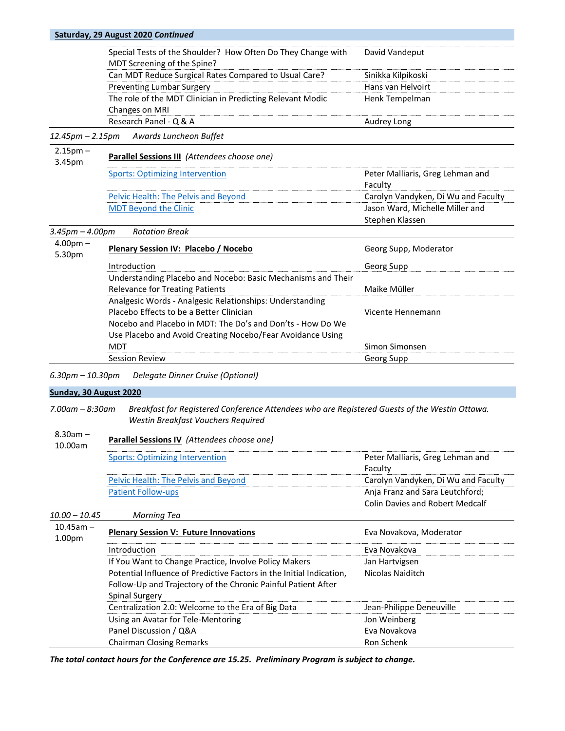|                        | Saturday, 29 August 2020 Continued                                                                     |                                     |
|------------------------|--------------------------------------------------------------------------------------------------------|-------------------------------------|
|                        | Special Tests of the Shoulder? How Often Do They Change with<br>MDT Screening of the Spine?            | David Vandeput                      |
|                        | Can MDT Reduce Surgical Rates Compared to Usual Care?                                                  | Sinikka Kilpikoski                  |
|                        | <b>Preventing Lumbar Surgery</b>                                                                       | Hans van Helvoirt                   |
|                        | The role of the MDT Clinician in Predicting Relevant Modic<br>Changes on MRI                           | Henk Tempelman                      |
|                        | Research Panel - Q & A                                                                                 | Audrey Long                         |
| $12.45$ pm – 2.15pm    | Awards Luncheon Buffet                                                                                 |                                     |
| $2.15pm -$<br>3.45pm   | Parallel Sessions III (Attendees choose one)                                                           |                                     |
|                        | <b>Sports: Optimizing Intervention</b>                                                                 | Peter Malliaris, Greg Lehman and    |
|                        |                                                                                                        | Faculty                             |
|                        | Pelvic Health: The Pelvis and Beyond                                                                   | Carolyn Vandyken, Di Wu and Faculty |
|                        | <b>MDT Beyond the Clinic</b>                                                                           | Jason Ward, Michelle Miller and     |
|                        |                                                                                                        | Stephen Klassen                     |
| $3.45$ pm $- 4.00$ pm  | <b>Rotation Break</b>                                                                                  |                                     |
| $4.00pm -$<br>5.30pm   | Plenary Session IV: Placebo / Nocebo                                                                   | Georg Supp, Moderator               |
|                        | Introduction                                                                                           | Georg Supp                          |
|                        | Understanding Placebo and Nocebo: Basic Mechanisms and Their<br><b>Relevance for Treating Patients</b> | Maike Müller                        |
|                        | Analgesic Words - Analgesic Relationships: Understanding                                               |                                     |
|                        | Placebo Effects to be a Better Clinician                                                               | Vicente Hennemann                   |
|                        | Nocebo and Placebo in MDT: The Do's and Don'ts - How Do We                                             |                                     |
|                        | Use Placebo and Avoid Creating Nocebo/Fear Avoidance Using                                             |                                     |
|                        | <b>MDT</b>                                                                                             | Simon Simonsen                      |
|                        | <b>Session Review</b>                                                                                  | Georg Supp                          |
| $6.30$ pm $-10.30$ pm  | Delegate Dinner Cruise (Optional)                                                                      |                                     |
| Sunday, 30 August 2020 |                                                                                                        |                                     |

*7.00am – 8:30am Breakfast for Registered Conference Attendees who are Registered Guests of the Westin Ottawa. Westin Breakfast Vouchers Required* 

#### 8.30am – 10.00am **Parallel Sessions IV** *(Attendees choose one)*

| Sports: Optimizing Intervention      | Peter Malliaris, Greg Lehman and       |
|--------------------------------------|----------------------------------------|
|                                      | Faculty                                |
| Pelvic Health: The Pelvis and Beyond | Carolyn Vandyken, Di Wu and Faculty    |
| <b>Patient Follow-ups</b>            | Anja Franz and Sara Leutchford;        |
|                                      | <b>Colin Davies and Robert Medcalf</b> |

*10.00 – 10.45 Morning Tea* 10.45am – 1.00pm **Plenary Session V: Future Innovations Example 2018** Eva Novakova, Moderator Introduction **Eva Novakova Eva Novakova** If You Want to Change Practice, Involve Policy Makers **Jan Hartvigsen** Potential Influence of Predictive Factors in the Initial Indication, Follow-Up and Trajectory of the Chronic Painful Patient After Spinal Surgery Nicolas Naiditch Centralization 2.0: Welcome to the Era of Big Data Jean-Philippe Deneuville Using an Avatar for Tele-Mentoring variable manufacturers on Weinberg Panel Discussion / Q&A Eva Novakova Chairman Closing Remarks **Ron Schenk** Ron Schenk

*The total contact hours for the Conference are 15.25. Preliminary Program is subject to change.*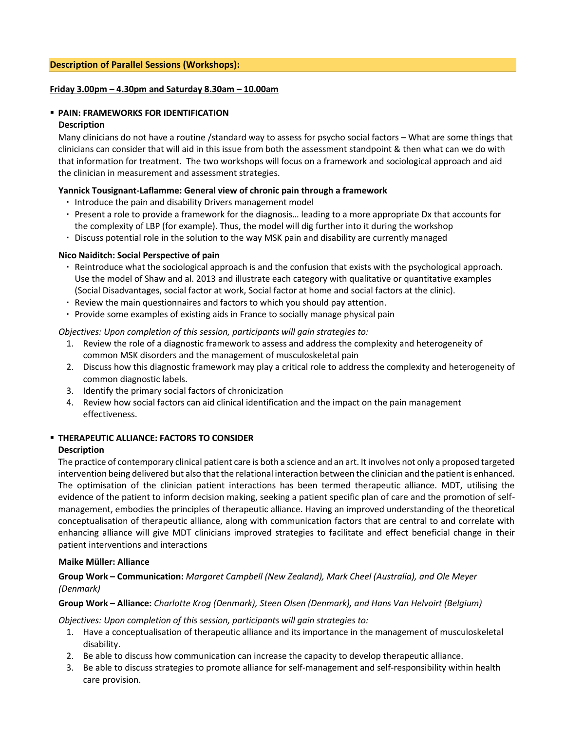## **Friday 3.00pm – 4.30pm and Saturday 8.30am – 10.00am**

#### <span id="page-2-0"></span>▪ **PAIN: FRAMEWORKS FOR IDENTIFICATION Description**

Many clinicians do not have a routine /standard way to assess for psycho social factors – What are some things that clinicians can consider that will aid in this issue from both the assessment standpoint & then what can we do with that information for treatment. The two workshops will focus on a framework and sociological approach and aid the clinician in measurement and assessment strategies.

## **Yannick Tousignant-Laflamme: General view of chronic pain through a framework**

- **·** Introduce the pain and disability Drivers management model
- **·** Present a role to provide a framework for the diagnosis… leading to a more appropriate Dx that accounts for the complexity of LBP (for example). Thus, the model will dig further into it during the workshop
- **·** Discuss potential role in the solution to the way MSK pain and disability are currently managed

## **Nico Naiditch: Social Perspective of pain**

- **·** Reintroduce what the sociological approach is and the confusion that exists with the psychological approach. Use the model of Shaw and al. 2013 and illustrate each category with qualitative or quantitative examples (Social Disadvantages, social factor at work, Social factor at home and social factors at the clinic).
- **·** Review the main questionnaires and factors to which you should pay attention.
- **·** Provide some examples of existing aids in France to socially manage physical pain

## *Objectives: Upon completion of this session, participants will gain strategies to:*

- 1. Review the role of a diagnostic framework to assess and address the complexity and heterogeneity of common MSK disorders and the management of musculoskeletal pain
- 2. Discuss how this diagnostic framework may play a critical role to address the complexity and heterogeneity of common diagnostic labels.
- 3. Identify the primary social factors of chronicization
- 4. Review how social factors can aid clinical identification and the impact on the pain management effectiveness.

# <span id="page-2-1"></span>▪ **THERAPEUTIC ALLIANCE: FACTORS TO CONSIDER**

## **Description**

The practice of contemporary clinical patient care is both a science and an art. It involves not only a proposed targeted intervention being delivered but also that the relational interaction between the clinician and the patient is enhanced. The optimisation of the clinician patient interactions has been termed therapeutic alliance. MDT, utilising the evidence of the patient to inform decision making, seeking a patient specific plan of care and the promotion of selfmanagement, embodies the principles of therapeutic alliance. Having an improved understanding of the theoretical conceptualisation of therapeutic alliance, along with communication factors that are central to and correlate with enhancing alliance will give MDT clinicians improved strategies to facilitate and effect beneficial change in their patient interventions and interactions

#### **Maike Müller: Alliance**

# **Group Work – Communication:** *Margaret Campbell (New Zealand), Mark Cheel (Australia), and Ole Meyer (Denmark)*

#### **Group Work – Alliance:** *Charlotte Krog (Denmark), Steen Olsen (Denmark), and Hans Van Helvoirt (Belgium)*

*Objectives: Upon completion of this session, participants will gain strategies to:*

- 1. Have a conceptualisation of therapeutic alliance and its importance in the management of musculoskeletal disability.
- 2. Be able to discuss how communication can increase the capacity to develop therapeutic alliance.
- 3. Be able to discuss strategies to promote alliance for self-management and self-responsibility within health care provision.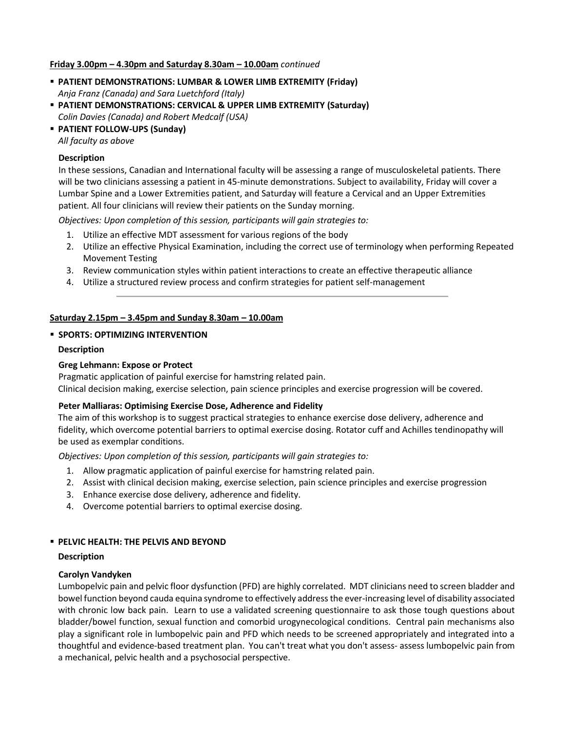## **Friday 3.00pm – 4.30pm and Saturday 8.30am – 10.00am** *continued*

- <span id="page-3-0"></span>▪ **PATIENT DEMONSTRATIONS: LUMBAR & LOWER LIMB EXTREMITY (Friday)** *Anja Franz (Canada) and Sara Luetchford (Italy)*
- **PATIENT DEMONSTRATIONS: CERVICAL & UPPER LIMB EXTREMITY (Saturday)** *Colin Davies (Canada) and Robert Medcalf (USA)*
- **PATIENT FOLLOW-UPS (Sunday)**

*All faculty as above*

#### **Description**

In these sessions, Canadian and International faculty will be assessing a range of musculoskeletal patients. There will be two clinicians assessing a patient in 45-minute demonstrations. Subject to availability, Friday will cover a Lumbar Spine and a Lower Extremities patient, and Saturday will feature a Cervical and an Upper Extremities patient. All four clinicians will review their patients on the Sunday morning.

*Objectives: Upon completion of this session, participants will gain strategies to:*

- 1. Utilize an effective MDT assessment for various regions of the body
- 2. Utilize an effective Physical Examination, including the correct use of terminology when performing Repeated Movement Testing
- 3. Review communication styles within patient interactions to create an effective therapeutic alliance
- 4. Utilize a structured review process and confirm strategies for patient self-management

## **Saturday 2.15pm – 3.45pm and Sunday 8.30am – 10.00am**

## <span id="page-3-1"></span>▪ **SPORTS: OPTIMIZING INTERVENTION**

#### **Description**

#### **Greg Lehmann: Expose or Protect**

Pragmatic application of painful exercise for hamstring related pain.

Clinical decision making, exercise selection, pain science principles and exercise progression will be covered.

#### **Peter Malliaras: Optimising Exercise Dose, Adherence and Fidelity**

The aim of this workshop is to suggest practical strategies to enhance exercise dose delivery, adherence and fidelity, which overcome potential barriers to optimal exercise dosing. Rotator cuff and Achilles tendinopathy will be used as exemplar conditions.

*Objectives: Upon completion of this session, participants will gain strategies to:*

- 1. Allow pragmatic application of painful exercise for hamstring related pain.
- 2. Assist with clinical decision making, exercise selection, pain science principles and exercise progression
- 3. Enhance exercise dose delivery, adherence and fidelity.
- 4. Overcome potential barriers to optimal exercise dosing.

#### <span id="page-3-2"></span>▪ **PELVIC HEALTH: THE PELVIS AND BEYOND**

#### **Description**

#### **Carolyn Vandyken**

Lumbopelvic pain and pelvic floor dysfunction (PFD) are highly correlated. MDT clinicians need to screen bladder and bowel function beyond cauda equina syndrome to effectively address the ever-increasing level of disability associated with chronic low back pain. Learn to use a validated screening questionnaire to ask those tough questions about bladder/bowel function, sexual function and comorbid urogynecological conditions. Central pain mechanisms also play a significant role in lumbopelvic pain and PFD which needs to be screened appropriately and integrated into a thoughtful and evidence-based treatment plan. You can't treat what you don't assess- assess lumbopelvic pain from a mechanical, pelvic health and a psychosocial perspective.